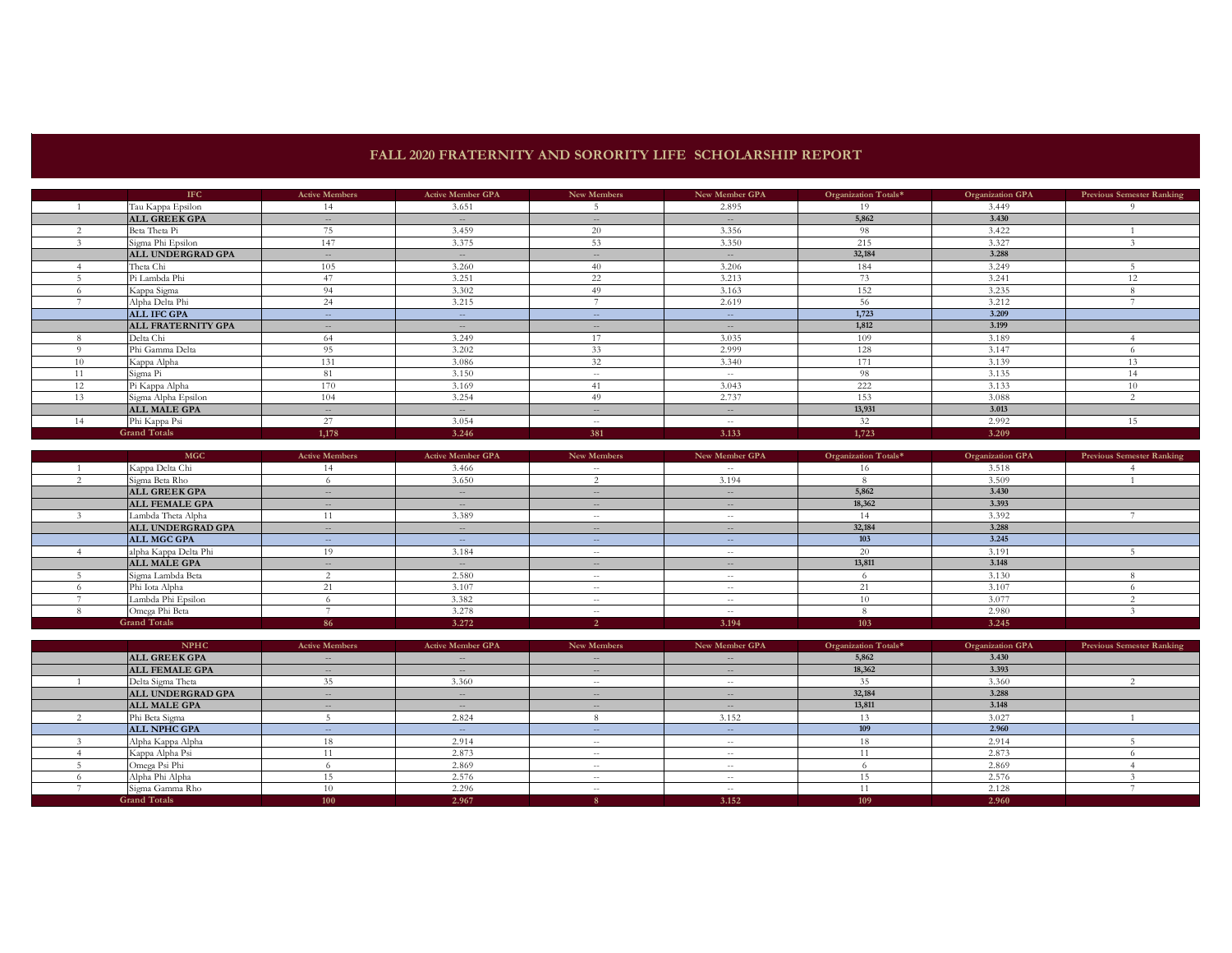## **FALL 2020 FRATERNITY AND SORORITY LIFE SCHOLARSHIP REPORT**

|    | <b>IFC</b>                | <b>Active Members</b> | <b>Active Member GPA</b> | New Members       | New Member GPA | Organization Totals* | <b>Organization GPA</b> | <b>Previous Semester Ranking</b> |
|----|---------------------------|-----------------------|--------------------------|-------------------|----------------|----------------------|-------------------------|----------------------------------|
|    | Tau Kappa Epsilon         | 14                    | 3.651                    |                   | 2.895          | 19                   | 3.449                   | $^{\circ}$                       |
|    | <b>ALL GREEK GPA</b>      | $  \,$                | $\sim$                   | $\qquad \qquad -$ | $- -$          | 5,862                | 3.430                   |                                  |
|    | Beta Theta Pi             | 75                    | 3.459                    | 20                | 3.356          | 98                   | 3.422                   |                                  |
|    | Sigma Phi Epsilon         | 147                   | 3.375                    | 53                | 3.350          | 215                  | 3.327                   |                                  |
|    | ALL UNDERGRAD GPA         | $  \,$                | $\sim$                   | $\frac{1}{2}$     | $\sim$         | 32,184               | 3.288                   |                                  |
|    | Theta Chi                 | 105                   | 3.260                    | 40                | 3.206          | 184                  | 3.249                   |                                  |
|    | Pi Lambda Phi             | 47                    | 3.251                    | 22                | 3.213          | 73                   | 3.241                   |                                  |
|    | Kappa Sigma               | 94                    | 3.302                    | 49                | 3.163          | 152                  | 3.235                   |                                  |
|    | Alpha Delta Phi           | 24                    | 3.215                    |                   | 2.619          | 56                   | 3.212                   |                                  |
|    | <b>ALL IFC GPA</b>        | $\sim$ $-$            | $\sim$ $-$               | $- -$             | $\sim$         | 1,723                | 3.209                   |                                  |
|    | <b>ALL FRATERNITY GPA</b> | $  \,$                | $  \,$                   | $\qquad \qquad -$ | $\sim$         | 1,812                | 3.199                   |                                  |
|    | Delta Chi                 | 64                    | 3.249                    | 17                | 3.035          | 109                  | 3.189                   |                                  |
|    | Phi Gamma Delta           | 95                    | 3.202                    | 33                | 2.999          | 128                  | 3.147                   |                                  |
| 10 | Kappa Alpha               | 131                   | 3.086                    | 32                | 3.340          | 171                  | 3.139                   | 13                               |
|    | Sigma Pi                  | 81                    | 3.150                    | $ -$              | $\sim$ $-$     | 98                   | 3.135                   | 14                               |
| 12 | Pi Kappa Alpha            | 170                   | 3.169                    | 41                | 3.043          | 222                  | 3.133                   | 10                               |
| 13 | Sigma Alpha Epsilon       | 104                   | 3.254                    | 49                | 2.737          | 153                  | 3.088                   |                                  |
|    | <b>ALL MALE GPA</b>       | $  \,$                | $\sim$                   | $\qquad \qquad -$ | $- -$          | 13,931               | 3.013                   |                                  |
| 14 | Phi Kappa Psi             | 27                    | 3.054                    | $\frac{1}{2}$     | $\sim$         | 32                   | 2.992                   | 15                               |
|    | <b>Grand Totals</b>       | 1,178                 | 3.246                    | 381               | 3.133          | 1,723                | 3.209                   |                                  |

| <b>MGC</b>            | <b>Active Members</b> | <b>Active Member GPA</b> | New Members       | New Member GPA | Organization Totals* | <b>Organization GPA</b> | <b>Previous Semester Ranking</b> |
|-----------------------|-----------------------|--------------------------|-------------------|----------------|----------------------|-------------------------|----------------------------------|
| Kappa Delta Chi       | 14                    | 3.466                    | $\sim$ $-$        | $\sim$ $\sim$  | 16.                  | 3.518                   |                                  |
| Sigma Beta Rho        |                       | 3.650                    |                   | 3.194          |                      | 3.509                   |                                  |
| <b>ALL GREEK GPA</b>  | $\cdots$              | $\sim$                   | $\frac{1}{2}$     | $\sim$         | 5,862                | 3.430                   |                                  |
| <b>ALL FEMALE GPA</b> | $- -$                 | $\qquad \qquad -$        | $\frac{1}{2}$     | $- -$          | 18,362               | 3.393                   |                                  |
| Lambda Theta Alpha    |                       | 3.389                    | $\sim$ $-$        | $- -$          |                      | 3.392                   |                                  |
| ALL UNDERGRAD GPA     | $\sim$                | $\qquad \qquad -$        | $\qquad \qquad -$ | $- -$          | 32,184               | 3.288                   |                                  |
| ALL MGC GPA           | $\sim$ $-$            | $\overline{\phantom{a}}$ | $\sim$            | $\sim$         | 103                  | 3.245                   |                                  |
| alpha Kappa Delta Phi | 19                    | 3.184                    | $\sim$ $-$        | $\sim$ $-$     | 20                   | 3.191                   |                                  |
| <b>ALL MALE GPA</b>   | $\frac{1}{2}$         | $\sim$                   | $\sim$ $-$        | $\sim$         | 13,811               | 3.148                   |                                  |
| Sigma Lambda Beta     |                       | 2.580                    | $- -$             | $- -$          |                      | 3.130                   |                                  |
| Phi Iota Alpha        |                       | 3.107                    | $- -$             | $\sim$ $-$     | 21                   | 3.107                   |                                  |
| Lambda Phi Epsilon    |                       | 3.382                    | $- -$             | $\sim$ $-$     |                      | 3.077                   |                                  |
| Omega Phi Beta        |                       | 3.278                    | $\sim$ $-$        | $\sim$ $-$     |                      | 2.980                   |                                  |
| <b>Grand Totals</b>   | 86                    | 3.272                    |                   | 3.194          | 103                  | 3.245                   |                                  |

| <b>NPHC</b>           | <b>Active Members</b> | <b>Active Member GPA</b> | New Members   | New Member GPA | Organization Totals* | <b>Organization GPA</b> | <b>Previous Semester Ranking</b> |
|-----------------------|-----------------------|--------------------------|---------------|----------------|----------------------|-------------------------|----------------------------------|
| <b>ALL GREEK GPA</b>  | $\sim$ $-$            | $- -$                    | $\sim$ $-$    | $\sim$         | 5,862                | 3.430                   |                                  |
| <b>ALL FEMALE GPA</b> | $\sim$                | $-$                      | $\frac{1}{2}$ | $\sim$         | 18,362               | 3.393                   |                                  |
| Delta Sigma Theta     |                       | 3.360                    | $\sim$ $-$    | $- -$          |                      | 3.360                   |                                  |
| ALL UNDERGRAD GPA     | $- -$                 | $-$                      | $\cdots$      | $- -$          | 32,184               | 3.288                   |                                  |
| <b>ALL MALE GPA</b>   | $- -$                 | $- -$                    | $\cdots$      | $- -$          | 13,811               | 3.148                   |                                  |
| Phi Beta Sigma        |                       | 2.824                    |               | 3.152          |                      | 3.027                   |                                  |
| <b>ALL NPHC GPA</b>   | $\sim$ $-$            | $-$                      | $\sim$ $-$    | $\sim$         | 109                  | 2.960                   |                                  |
| Alpha Kappa Alpha     |                       | 2.914                    | $\sim$ $-$    | $\sim$ $-$     | 18                   | 2.914                   |                                  |
| Kappa Alpha Psi       |                       | 2.873                    | $- -$         | $- -$          |                      | 2.873                   |                                  |
| Omega Psi Phi         |                       | 2.869                    | $- -$         | $- -$          |                      | 2.869                   |                                  |
| Alpha Phi Alpha       |                       | 2.576                    | $ -$          | $\sim$ $-$     | ר ו                  | 2.576                   |                                  |
| Sigma Gamma Rho       |                       | 2.296                    | $- -$         | $\sim$ $-$     |                      | 2.128                   |                                  |
| <b>Grand Totals</b>   | 100                   | 2.967                    |               | 3.152          | 109                  | 2.960                   |                                  |